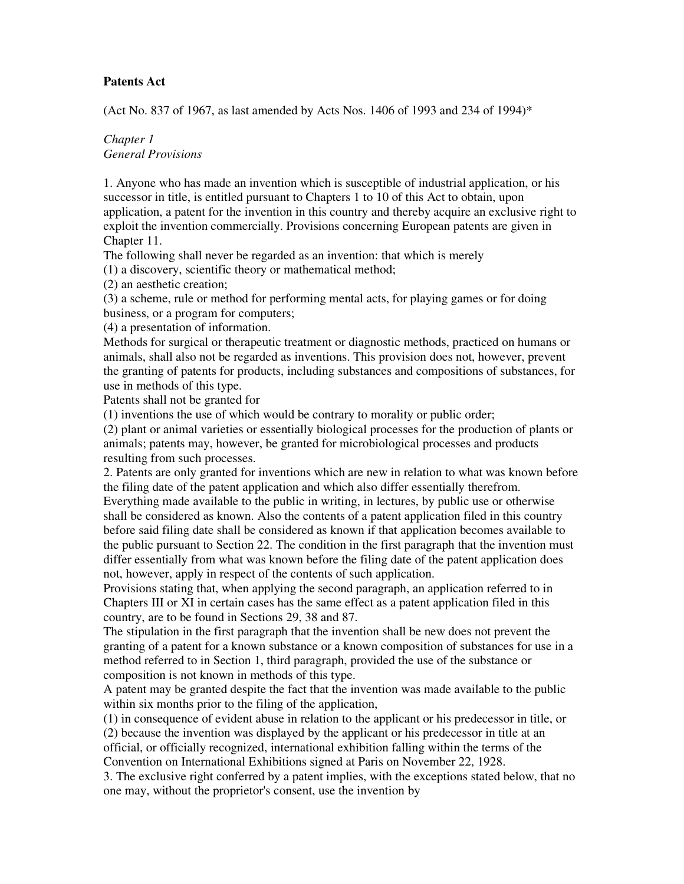### **Patents Act**

(Act No. 837 of 1967, as last amended by Acts Nos. 1406 of 1993 and 234 of 1994)\*

## *Chapter 1 General Provisions*

1. Anyone who has made an invention which is susceptible of industrial application, or his successor in title, is entitled pursuant to Chapters 1 to 10 of this Act to obtain, upon application, a patent for the invention in this country and thereby acquire an exclusive right to exploit the invention commercially. Provisions concerning European patents are given in Chapter 11.

The following shall never be regarded as an invention: that which is merely

(1) a discovery, scientific theory or mathematical method;

(2) an aesthetic creation;

(3) a scheme, rule or method for performing mental acts, for playing games or for doing business, or a program for computers;

(4) a presentation of information.

Methods for surgical or therapeutic treatment or diagnostic methods, practiced on humans or animals, shall also not be regarded as inventions. This provision does not, however, prevent the granting of patents for products, including substances and compositions of substances, for use in methods of this type.

Patents shall not be granted for

(1) inventions the use of which would be contrary to morality or public order;

(2) plant or animal varieties or essentially biological processes for the production of plants or animals; patents may, however, be granted for microbiological processes and products resulting from such processes.

2. Patents are only granted for inventions which are new in relation to what was known before the filing date of the patent application and which also differ essentially therefrom.

Everything made available to the public in writing, in lectures, by public use or otherwise shall be considered as known. Also the contents of a patent application filed in this country before said filing date shall be considered as known if that application becomes available to the public pursuant to Section 22. The condition in the first paragraph that the invention must differ essentially from what was known before the filing date of the patent application does not, however, apply in respect of the contents of such application.

Provisions stating that, when applying the second paragraph, an application referred to in Chapters III or XI in certain cases has the same effect as a patent application filed in this country, are to be found in Sections 29, 38 and 87.

The stipulation in the first paragraph that the invention shall be new does not prevent the granting of a patent for a known substance or a known composition of substances for use in a method referred to in Section 1, third paragraph, provided the use of the substance or composition is not known in methods of this type.

A patent may be granted despite the fact that the invention was made available to the public within six months prior to the filing of the application,

(1) in consequence of evident abuse in relation to the applicant or his predecessor in title, or

(2) because the invention was displayed by the applicant or his predecessor in title at an official, or officially recognized, international exhibition falling within the terms of the Convention on International Exhibitions signed at Paris on November 22, 1928.

3. The exclusive right conferred by a patent implies, with the exceptions stated below, that no one may, without the proprietor's consent, use the invention by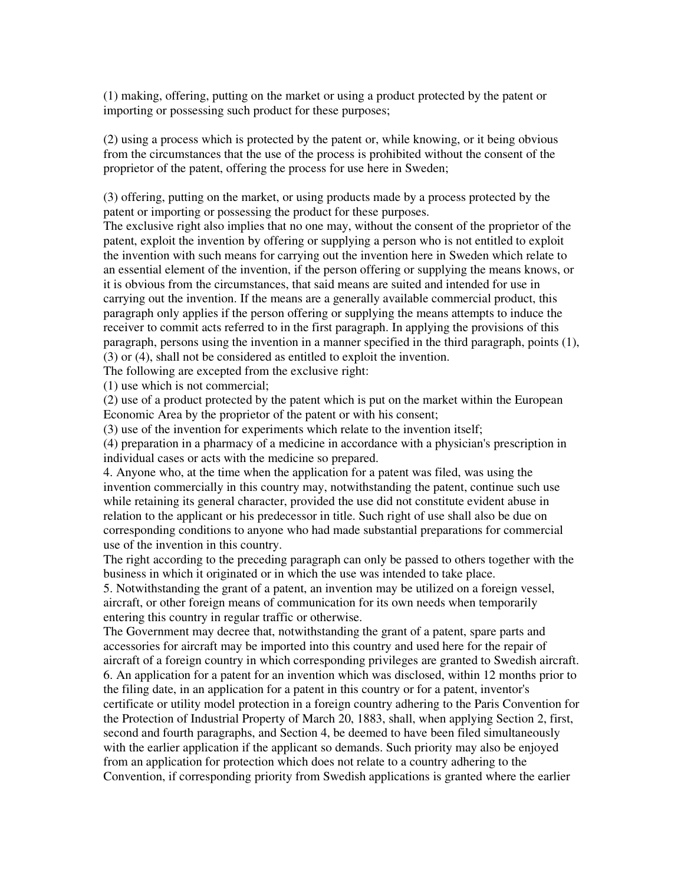(1) making, offering, putting on the market or using a product protected by the patent or importing or possessing such product for these purposes;

(2) using a process which is protected by the patent or, while knowing, or it being obvious from the circumstances that the use of the process is prohibited without the consent of the proprietor of the patent, offering the process for use here in Sweden;

(3) offering, putting on the market, or using products made by a process protected by the patent or importing or possessing the product for these purposes.

The exclusive right also implies that no one may, without the consent of the proprietor of the patent, exploit the invention by offering or supplying a person who is not entitled to exploit the invention with such means for carrying out the invention here in Sweden which relate to an essential element of the invention, if the person offering or supplying the means knows, or it is obvious from the circumstances, that said means are suited and intended for use in carrying out the invention. If the means are a generally available commercial product, this paragraph only applies if the person offering or supplying the means attempts to induce the receiver to commit acts referred to in the first paragraph. In applying the provisions of this paragraph, persons using the invention in a manner specified in the third paragraph, points (1), (3) or (4), shall not be considered as entitled to exploit the invention.

The following are excepted from the exclusive right:

(1) use which is not commercial;

(2) use of a product protected by the patent which is put on the market within the European Economic Area by the proprietor of the patent or with his consent;

(3) use of the invention for experiments which relate to the invention itself;

(4) preparation in a pharmacy of a medicine in accordance with a physician's prescription in individual cases or acts with the medicine so prepared.

4. Anyone who, at the time when the application for a patent was filed, was using the invention commercially in this country may, notwithstanding the patent, continue such use while retaining its general character, provided the use did not constitute evident abuse in relation to the applicant or his predecessor in title. Such right of use shall also be due on corresponding conditions to anyone who had made substantial preparations for commercial use of the invention in this country.

The right according to the preceding paragraph can only be passed to others together with the business in which it originated or in which the use was intended to take place.

5. Notwithstanding the grant of a patent, an invention may be utilized on a foreign vessel, aircraft, or other foreign means of communication for its own needs when temporarily entering this country in regular traffic or otherwise.

The Government may decree that, notwithstanding the grant of a patent, spare parts and accessories for aircraft may be imported into this country and used here for the repair of aircraft of a foreign country in which corresponding privileges are granted to Swedish aircraft. 6. An application for a patent for an invention which was disclosed, within 12 months prior to the filing date, in an application for a patent in this country or for a patent, inventor's certificate or utility model protection in a foreign country adhering to the Paris Convention for the Protection of Industrial Property of March 20, 1883, shall, when applying Section 2, first, second and fourth paragraphs, and Section 4, be deemed to have been filed simultaneously with the earlier application if the applicant so demands. Such priority may also be enjoyed from an application for protection which does not relate to a country adhering to the Convention, if corresponding priority from Swedish applications is granted where the earlier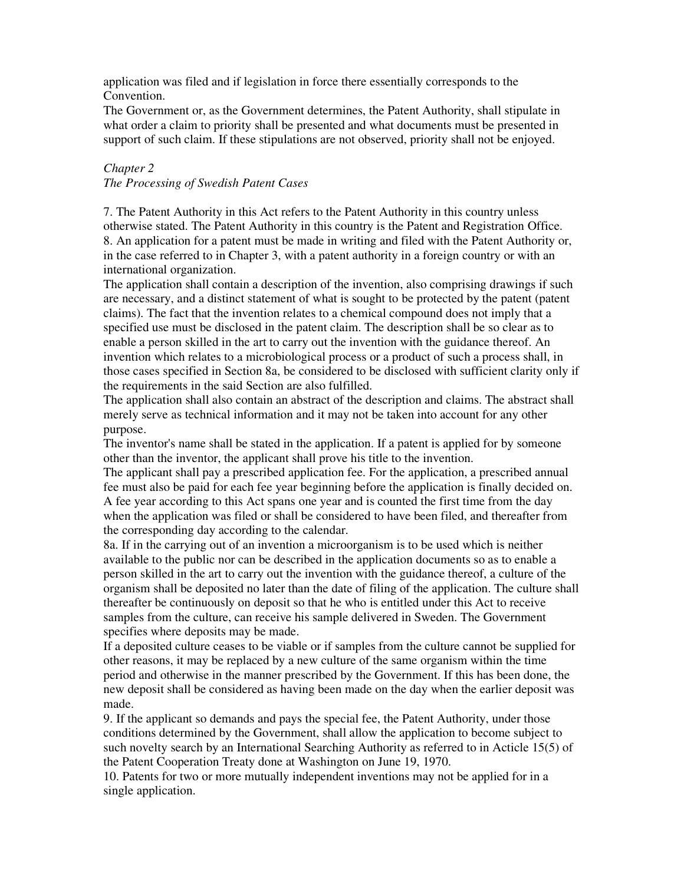application was filed and if legislation in force there essentially corresponds to the Convention.

The Government or, as the Government determines, the Patent Authority, shall stipulate in what order a claim to priority shall be presented and what documents must be presented in support of such claim. If these stipulations are not observed, priority shall not be enjoyed.

# *Chapter 2*

#### *The Processing of Swedish Patent Cases*

7. The Patent Authority in this Act refers to the Patent Authority in this country unless otherwise stated. The Patent Authority in this country is the Patent and Registration Office. 8. An application for a patent must be made in writing and filed with the Patent Authority or, in the case referred to in Chapter 3, with a patent authority in a foreign country or with an international organization.

The application shall contain a description of the invention, also comprising drawings if such are necessary, and a distinct statement of what is sought to be protected by the patent (patent claims). The fact that the invention relates to a chemical compound does not imply that a specified use must be disclosed in the patent claim. The description shall be so clear as to enable a person skilled in the art to carry out the invention with the guidance thereof. An invention which relates to a microbiological process or a product of such a process shall, in those cases specified in Section 8a, be considered to be disclosed with sufficient clarity only if the requirements in the said Section are also fulfilled.

The application shall also contain an abstract of the description and claims. The abstract shall merely serve as technical information and it may not be taken into account for any other purpose.

The inventor's name shall be stated in the application. If a patent is applied for by someone other than the inventor, the applicant shall prove his title to the invention.

The applicant shall pay a prescribed application fee. For the application, a prescribed annual fee must also be paid for each fee year beginning before the application is finally decided on. A fee year according to this Act spans one year and is counted the first time from the day when the application was filed or shall be considered to have been filed, and thereafter from the corresponding day according to the calendar.

8a. If in the carrying out of an invention a microorganism is to be used which is neither available to the public nor can be described in the application documents so as to enable a person skilled in the art to carry out the invention with the guidance thereof, a culture of the organism shall be deposited no later than the date of filing of the application. The culture shall thereafter be continuously on deposit so that he who is entitled under this Act to receive samples from the culture, can receive his sample delivered in Sweden. The Government specifies where deposits may be made.

If a deposited culture ceases to be viable or if samples from the culture cannot be supplied for other reasons, it may be replaced by a new culture of the same organism within the time period and otherwise in the manner prescribed by the Government. If this has been done, the new deposit shall be considered as having been made on the day when the earlier deposit was made.

9. If the applicant so demands and pays the special fee, the Patent Authority, under those conditions determined by the Government, shall allow the application to become subject to such novelty search by an International Searching Authority as referred to in Acticle 15(5) of the Patent Cooperation Treaty done at Washington on June 19, 1970.

10. Patents for two or more mutually independent inventions may not be applied for in a single application.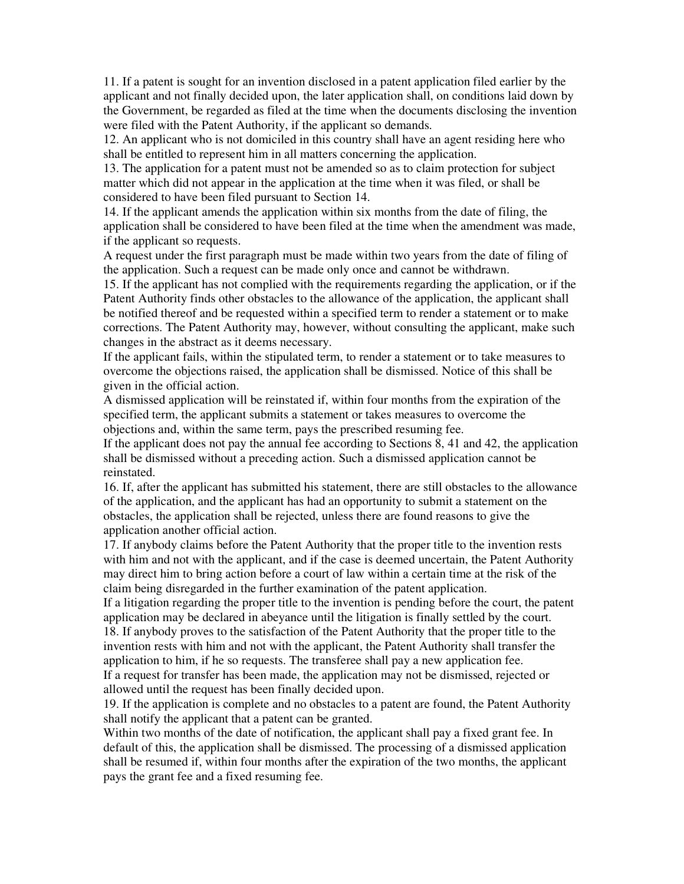11. If a patent is sought for an invention disclosed in a patent application filed earlier by the applicant and not finally decided upon, the later application shall, on conditions laid down by the Government, be regarded as filed at the time when the documents disclosing the invention were filed with the Patent Authority, if the applicant so demands.

12. An applicant who is not domiciled in this country shall have an agent residing here who shall be entitled to represent him in all matters concerning the application.

13. The application for a patent must not be amended so as to claim protection for subject matter which did not appear in the application at the time when it was filed, or shall be considered to have been filed pursuant to Section 14.

14. If the applicant amends the application within six months from the date of filing, the application shall be considered to have been filed at the time when the amendment was made, if the applicant so requests.

A request under the first paragraph must be made within two years from the date of filing of the application. Such a request can be made only once and cannot be withdrawn.

15. If the applicant has not complied with the requirements regarding the application, or if the Patent Authority finds other obstacles to the allowance of the application, the applicant shall be notified thereof and be requested within a specified term to render a statement or to make corrections. The Patent Authority may, however, without consulting the applicant, make such changes in the abstract as it deems necessary.

If the applicant fails, within the stipulated term, to render a statement or to take measures to overcome the objections raised, the application shall be dismissed. Notice of this shall be given in the official action.

A dismissed application will be reinstated if, within four months from the expiration of the specified term, the applicant submits a statement or takes measures to overcome the objections and, within the same term, pays the prescribed resuming fee.

If the applicant does not pay the annual fee according to Sections 8, 41 and 42, the application shall be dismissed without a preceding action. Such a dismissed application cannot be reinstated.

16. If, after the applicant has submitted his statement, there are still obstacles to the allowance of the application, and the applicant has had an opportunity to submit a statement on the obstacles, the application shall be rejected, unless there are found reasons to give the application another official action.

17. If anybody claims before the Patent Authority that the proper title to the invention rests with him and not with the applicant, and if the case is deemed uncertain, the Patent Authority may direct him to bring action before a court of law within a certain time at the risk of the claim being disregarded in the further examination of the patent application.

If a litigation regarding the proper title to the invention is pending before the court, the patent application may be declared in abeyance until the litigation is finally settled by the court. 18. If anybody proves to the satisfaction of the Patent Authority that the proper title to the invention rests with him and not with the applicant, the Patent Authority shall transfer the application to him, if he so requests. The transferee shall pay a new application fee. If a request for transfer has been made, the application may not be dismissed, rejected or allowed until the request has been finally decided upon.

19. If the application is complete and no obstacles to a patent are found, the Patent Authority shall notify the applicant that a patent can be granted.

Within two months of the date of notification, the applicant shall pay a fixed grant fee. In default of this, the application shall be dismissed. The processing of a dismissed application shall be resumed if, within four months after the expiration of the two months, the applicant pays the grant fee and a fixed resuming fee.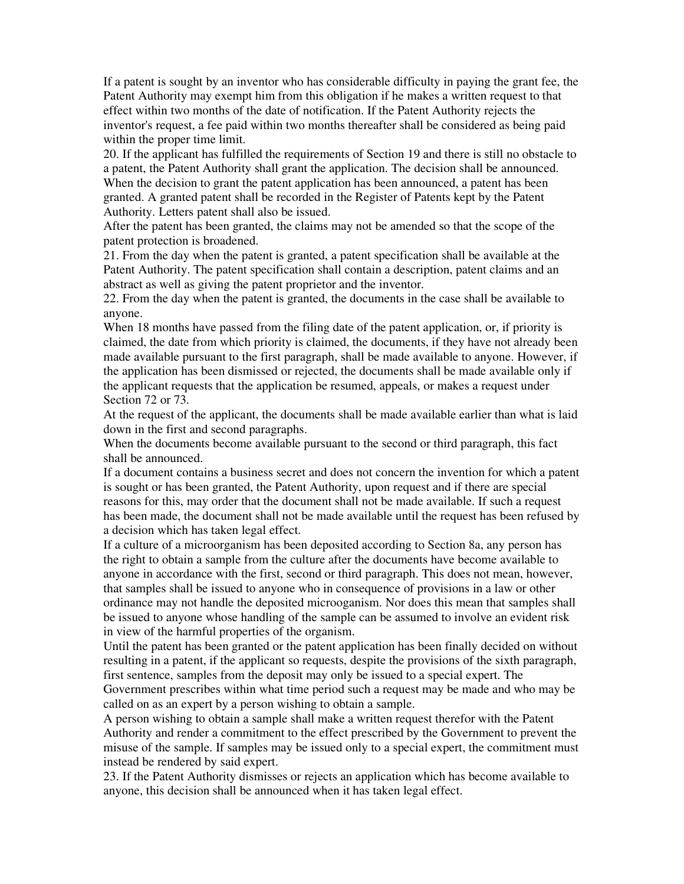If a patent is sought by an inventor who has considerable difficulty in paying the grant fee, the Patent Authority may exempt him from this obligation if he makes a written request to that effect within two months of the date of notification. If the Patent Authority rejects the inventor's request, a fee paid within two months thereafter shall be considered as being paid within the proper time limit.

20. If the applicant has fulfilled the requirements of Section 19 and there is still no obstacle to a patent, the Patent Authority shall grant the application. The decision shall be announced. When the decision to grant the patent application has been announced, a patent has been granted. A granted patent shall be recorded in the Register of Patents kept by the Patent Authority. Letters patent shall also be issued.

After the patent has been granted, the claims may not be amended so that the scope of the patent protection is broadened.

21. From the day when the patent is granted, a patent specification shall be available at the Patent Authority. The patent specification shall contain a description, patent claims and an abstract as well as giving the patent proprietor and the inventor.

22. From the day when the patent is granted, the documents in the case shall be available to anyone.

When 18 months have passed from the filing date of the patent application, or, if priority is claimed, the date from which priority is claimed, the documents, if they have not already been made available pursuant to the first paragraph, shall be made available to anyone. However, if the application has been dismissed or rejected, the documents shall be made available only if the applicant requests that the application be resumed, appeals, or makes a request under Section 72 or 73.

At the request of the applicant, the documents shall be made available earlier than what is laid down in the first and second paragraphs.

When the documents become available pursuant to the second or third paragraph, this fact shall be announced.

If a document contains a business secret and does not concern the invention for which a patent is sought or has been granted, the Patent Authority, upon request and if there are special reasons for this, may order that the document shall not be made available. If such a request has been made, the document shall not be made available until the request has been refused by a decision which has taken legal effect.

If a culture of a microorganism has been deposited according to Section 8a, any person has the right to obtain a sample from the culture after the documents have become available to anyone in accordance with the first, second or third paragraph. This does not mean, however, that samples shall be issued to anyone who in consequence of provisions in a law or other ordinance may not handle the deposited microoganism. Nor does this mean that samples shall be issued to anyone whose handling of the sample can be assumed to involve an evident risk in view of the harmful properties of the organism.

Until the patent has been granted or the patent application has been finally decided on without resulting in a patent, if the applicant so requests, despite the provisions of the sixth paragraph, first sentence, samples from the deposit may only be issued to a special expert. The Government prescribes within what time period such a request may be made and who may be called on as an expert by a person wishing to obtain a sample.

A person wishing to obtain a sample shall make a written request therefor with the Patent Authority and render a commitment to the effect prescribed by the Government to prevent the misuse of the sample. If samples may be issued only to a special expert, the commitment must instead be rendered by said expert.

23. If the Patent Authority dismisses or rejects an application which has become available to anyone, this decision shall be announced when it has taken legal effect.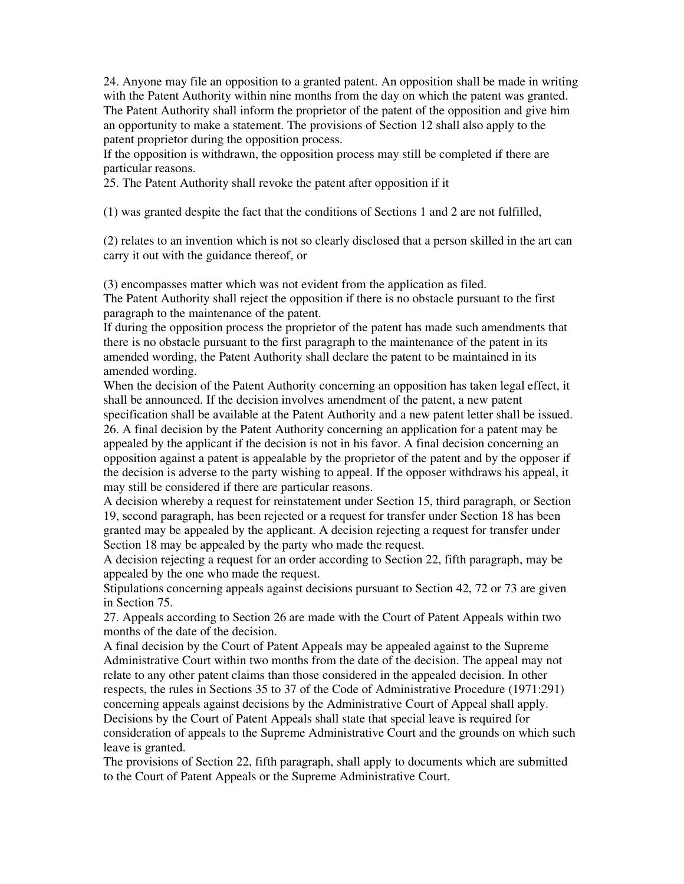24. Anyone may file an opposition to a granted patent. An opposition shall be made in writing with the Patent Authority within nine months from the day on which the patent was granted. The Patent Authority shall inform the proprietor of the patent of the opposition and give him an opportunity to make a statement. The provisions of Section 12 shall also apply to the patent proprietor during the opposition process.

If the opposition is withdrawn, the opposition process may still be completed if there are particular reasons.

25. The Patent Authority shall revoke the patent after opposition if it

(1) was granted despite the fact that the conditions of Sections 1 and 2 are not fulfilled,

(2) relates to an invention which is not so clearly disclosed that a person skilled in the art can carry it out with the guidance thereof, or

(3) encompasses matter which was not evident from the application as filed.

The Patent Authority shall reject the opposition if there is no obstacle pursuant to the first paragraph to the maintenance of the patent.

If during the opposition process the proprietor of the patent has made such amendments that there is no obstacle pursuant to the first paragraph to the maintenance of the patent in its amended wording, the Patent Authority shall declare the patent to be maintained in its amended wording.

When the decision of the Patent Authority concerning an opposition has taken legal effect, it shall be announced. If the decision involves amendment of the patent, a new patent specification shall be available at the Patent Authority and a new patent letter shall be issued. 26. A final decision by the Patent Authority concerning an application for a patent may be appealed by the applicant if the decision is not in his favor. A final decision concerning an opposition against a patent is appealable by the proprietor of the patent and by the opposer if the decision is adverse to the party wishing to appeal. If the opposer withdraws his appeal, it may still be considered if there are particular reasons.

A decision whereby a request for reinstatement under Section 15, third paragraph, or Section 19, second paragraph, has been rejected or a request for transfer under Section 18 has been granted may be appealed by the applicant. A decision rejecting a request for transfer under Section 18 may be appealed by the party who made the request.

A decision rejecting a request for an order according to Section 22, fifth paragraph, may be appealed by the one who made the request.

Stipulations concerning appeals against decisions pursuant to Section 42, 72 or 73 are given in Section 75.

27. Appeals according to Section 26 are made with the Court of Patent Appeals within two months of the date of the decision.

A final decision by the Court of Patent Appeals may be appealed against to the Supreme Administrative Court within two months from the date of the decision. The appeal may not relate to any other patent claims than those considered in the appealed decision. In other respects, the rules in Sections 35 to 37 of the Code of Administrative Procedure (1971:291) concerning appeals against decisions by the Administrative Court of Appeal shall apply. Decisions by the Court of Patent Appeals shall state that special leave is required for consideration of appeals to the Supreme Administrative Court and the grounds on which such leave is granted.

The provisions of Section 22, fifth paragraph, shall apply to documents which are submitted to the Court of Patent Appeals or the Supreme Administrative Court.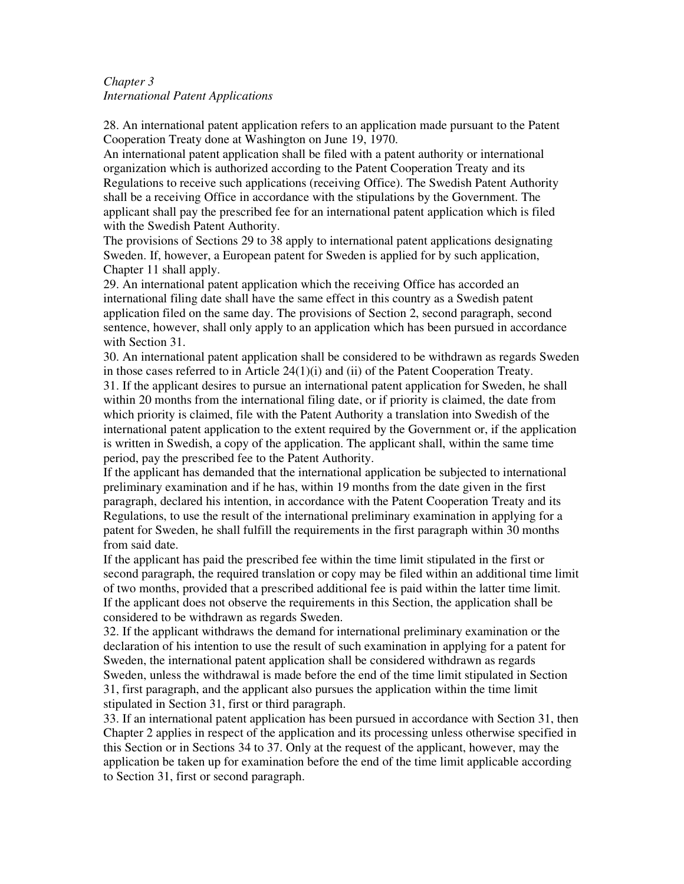# *Chapter 3 International Patent Applications*

28. An international patent application refers to an application made pursuant to the Patent Cooperation Treaty done at Washington on June 19, 1970.

An international patent application shall be filed with a patent authority or international organization which is authorized according to the Patent Cooperation Treaty and its Regulations to receive such applications (receiving Office). The Swedish Patent Authority shall be a receiving Office in accordance with the stipulations by the Government. The applicant shall pay the prescribed fee for an international patent application which is filed with the Swedish Patent Authority.

The provisions of Sections 29 to 38 apply to international patent applications designating Sweden. If, however, a European patent for Sweden is applied for by such application, Chapter 11 shall apply.

29. An international patent application which the receiving Office has accorded an international filing date shall have the same effect in this country as a Swedish patent application filed on the same day. The provisions of Section 2, second paragraph, second sentence, however, shall only apply to an application which has been pursued in accordance with Section 31.

30. An international patent application shall be considered to be withdrawn as regards Sweden in those cases referred to in Article  $24(1)(i)$  and (ii) of the Patent Cooperation Treaty.

31. If the applicant desires to pursue an international patent application for Sweden, he shall within 20 months from the international filing date, or if priority is claimed, the date from which priority is claimed, file with the Patent Authority a translation into Swedish of the international patent application to the extent required by the Government or, if the application is written in Swedish, a copy of the application. The applicant shall, within the same time period, pay the prescribed fee to the Patent Authority.

If the applicant has demanded that the international application be subjected to international preliminary examination and if he has, within 19 months from the date given in the first paragraph, declared his intention, in accordance with the Patent Cooperation Treaty and its Regulations, to use the result of the international preliminary examination in applying for a patent for Sweden, he shall fulfill the requirements in the first paragraph within 30 months from said date.

If the applicant has paid the prescribed fee within the time limit stipulated in the first or second paragraph, the required translation or copy may be filed within an additional time limit of two months, provided that a prescribed additional fee is paid within the latter time limit. If the applicant does not observe the requirements in this Section, the application shall be considered to be withdrawn as regards Sweden.

32. If the applicant withdraws the demand for international preliminary examination or the declaration of his intention to use the result of such examination in applying for a patent for Sweden, the international patent application shall be considered withdrawn as regards Sweden, unless the withdrawal is made before the end of the time limit stipulated in Section 31, first paragraph, and the applicant also pursues the application within the time limit stipulated in Section 31, first or third paragraph.

33. If an international patent application has been pursued in accordance with Section 31, then Chapter 2 applies in respect of the application and its processing unless otherwise specified in this Section or in Sections 34 to 37. Only at the request of the applicant, however, may the application be taken up for examination before the end of the time limit applicable according to Section 31, first or second paragraph.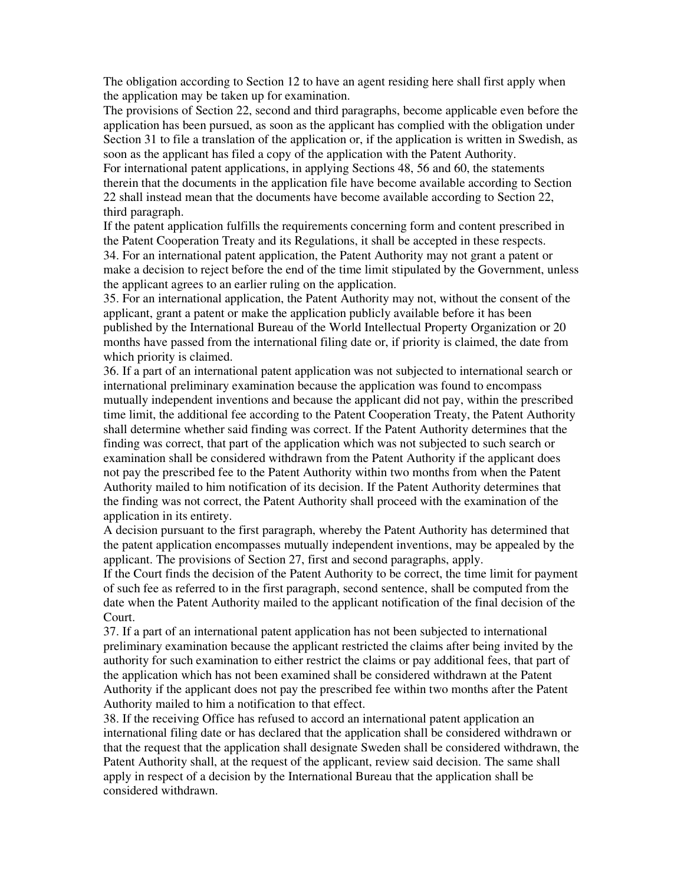The obligation according to Section 12 to have an agent residing here shall first apply when the application may be taken up for examination.

The provisions of Section 22, second and third paragraphs, become applicable even before the application has been pursued, as soon as the applicant has complied with the obligation under Section 31 to file a translation of the application or, if the application is written in Swedish, as soon as the applicant has filed a copy of the application with the Patent Authority.

For international patent applications, in applying Sections 48, 56 and 60, the statements therein that the documents in the application file have become available according to Section 22 shall instead mean that the documents have become available according to Section 22, third paragraph.

If the patent application fulfills the requirements concerning form and content prescribed in the Patent Cooperation Treaty and its Regulations, it shall be accepted in these respects. 34. For an international patent application, the Patent Authority may not grant a patent or make a decision to reject before the end of the time limit stipulated by the Government, unless the applicant agrees to an earlier ruling on the application.

35. For an international application, the Patent Authority may not, without the consent of the applicant, grant a patent or make the application publicly available before it has been published by the International Bureau of the World Intellectual Property Organization or 20 months have passed from the international filing date or, if priority is claimed, the date from which priority is claimed.

36. If a part of an international patent application was not subjected to international search or international preliminary examination because the application was found to encompass mutually independent inventions and because the applicant did not pay, within the prescribed time limit, the additional fee according to the Patent Cooperation Treaty, the Patent Authority shall determine whether said finding was correct. If the Patent Authority determines that the finding was correct, that part of the application which was not subjected to such search or examination shall be considered withdrawn from the Patent Authority if the applicant does not pay the prescribed fee to the Patent Authority within two months from when the Patent Authority mailed to him notification of its decision. If the Patent Authority determines that the finding was not correct, the Patent Authority shall proceed with the examination of the application in its entirety.

A decision pursuant to the first paragraph, whereby the Patent Authority has determined that the patent application encompasses mutually independent inventions, may be appealed by the applicant. The provisions of Section 27, first and second paragraphs, apply.

If the Court finds the decision of the Patent Authority to be correct, the time limit for payment of such fee as referred to in the first paragraph, second sentence, shall be computed from the date when the Patent Authority mailed to the applicant notification of the final decision of the Court.

37. If a part of an international patent application has not been subjected to international preliminary examination because the applicant restricted the claims after being invited by the authority for such examination to either restrict the claims or pay additional fees, that part of the application which has not been examined shall be considered withdrawn at the Patent Authority if the applicant does not pay the prescribed fee within two months after the Patent Authority mailed to him a notification to that effect.

38. If the receiving Office has refused to accord an international patent application an international filing date or has declared that the application shall be considered withdrawn or that the request that the application shall designate Sweden shall be considered withdrawn, the Patent Authority shall, at the request of the applicant, review said decision. The same shall apply in respect of a decision by the International Bureau that the application shall be considered withdrawn.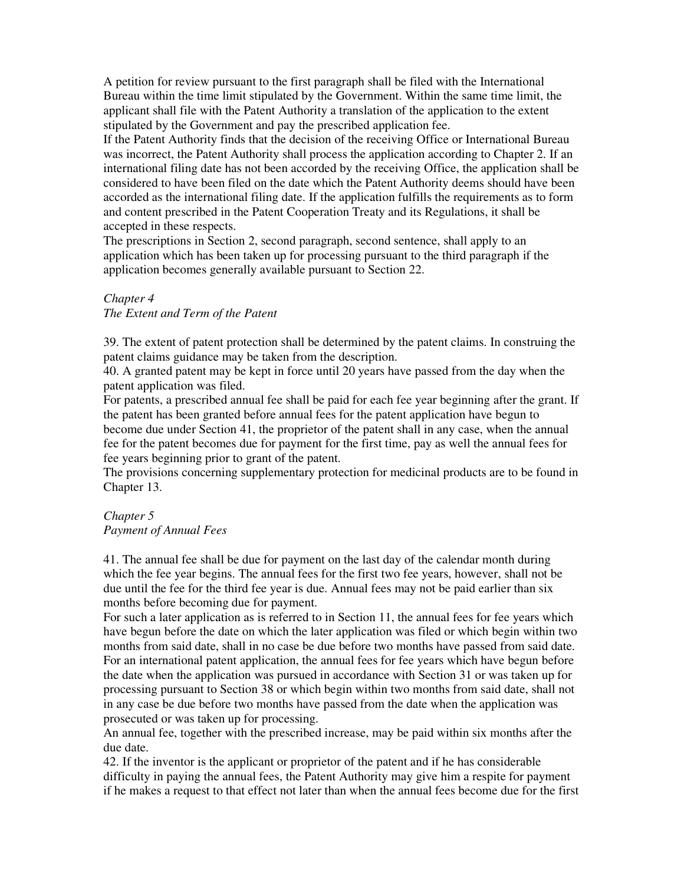A petition for review pursuant to the first paragraph shall be filed with the International Bureau within the time limit stipulated by the Government. Within the same time limit, the applicant shall file with the Patent Authority a translation of the application to the extent stipulated by the Government and pay the prescribed application fee.

If the Patent Authority finds that the decision of the receiving Office or International Bureau was incorrect, the Patent Authority shall process the application according to Chapter 2. If an international filing date has not been accorded by the receiving Office, the application shall be considered to have been filed on the date which the Patent Authority deems should have been accorded as the international filing date. If the application fulfills the requirements as to form and content prescribed in the Patent Cooperation Treaty and its Regulations, it shall be accepted in these respects.

The prescriptions in Section 2, second paragraph, second sentence, shall apply to an application which has been taken up for processing pursuant to the third paragraph if the application becomes generally available pursuant to Section 22.

# *Chapter 4*

*The Extent and Term of the Patent* 

39. The extent of patent protection shall be determined by the patent claims. In construing the patent claims guidance may be taken from the description.

40. A granted patent may be kept in force until 20 years have passed from the day when the patent application was filed.

For patents, a prescribed annual fee shall be paid for each fee year beginning after the grant. If the patent has been granted before annual fees for the patent application have begun to become due under Section 41, the proprietor of the patent shall in any case, when the annual fee for the patent becomes due for payment for the first time, pay as well the annual fees for fee years beginning prior to grant of the patent.

The provisions concerning supplementary protection for medicinal products are to be found in Chapter 13.

# *Chapter 5 Payment of Annual Fees*

41. The annual fee shall be due for payment on the last day of the calendar month during which the fee year begins. The annual fees for the first two fee years, however, shall not be due until the fee for the third fee year is due. Annual fees may not be paid earlier than six months before becoming due for payment.

For such a later application as is referred to in Section 11, the annual fees for fee years which have begun before the date on which the later application was filed or which begin within two months from said date, shall in no case be due before two months have passed from said date. For an international patent application, the annual fees for fee years which have begun before the date when the application was pursued in accordance with Section 31 or was taken up for processing pursuant to Section 38 or which begin within two months from said date, shall not in any case be due before two months have passed from the date when the application was prosecuted or was taken up for processing.

An annual fee, together with the prescribed increase, may be paid within six months after the due date.

42. If the inventor is the applicant or proprietor of the patent and if he has considerable difficulty in paying the annual fees, the Patent Authority may give him a respite for payment if he makes a request to that effect not later than when the annual fees become due for the first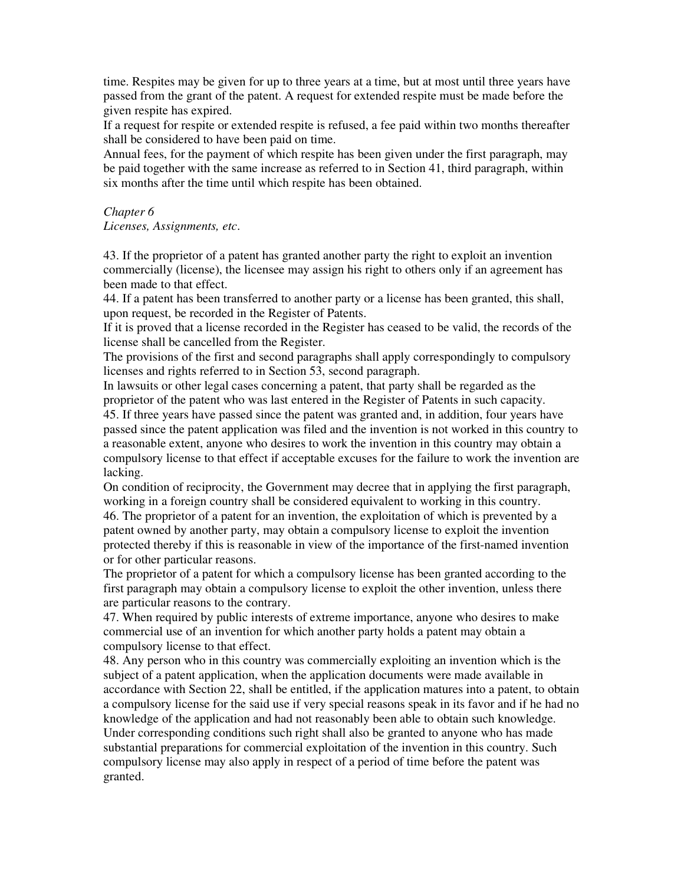time. Respites may be given for up to three years at a time, but at most until three years have passed from the grant of the patent. A request for extended respite must be made before the given respite has expired.

If a request for respite or extended respite is refused, a fee paid within two months thereafter shall be considered to have been paid on time.

Annual fees, for the payment of which respite has been given under the first paragraph, may be paid together with the same increase as referred to in Section 41, third paragraph, within six months after the time until which respite has been obtained.

#### *Chapter 6*

*Licenses, Assignments, etc*.

43. If the proprietor of a patent has granted another party the right to exploit an invention commercially (license), the licensee may assign his right to others only if an agreement has been made to that effect.

44. If a patent has been transferred to another party or a license has been granted, this shall, upon request, be recorded in the Register of Patents.

If it is proved that a license recorded in the Register has ceased to be valid, the records of the license shall be cancelled from the Register.

The provisions of the first and second paragraphs shall apply correspondingly to compulsory licenses and rights referred to in Section 53, second paragraph.

In lawsuits or other legal cases concerning a patent, that party shall be regarded as the proprietor of the patent who was last entered in the Register of Patents in such capacity. 45. If three years have passed since the patent was granted and, in addition, four years have passed since the patent application was filed and the invention is not worked in this country to a reasonable extent, anyone who desires to work the invention in this country may obtain a compulsory license to that effect if acceptable excuses for the failure to work the invention are lacking.

On condition of reciprocity, the Government may decree that in applying the first paragraph, working in a foreign country shall be considered equivalent to working in this country. 46. The proprietor of a patent for an invention, the exploitation of which is prevented by a patent owned by another party, may obtain a compulsory license to exploit the invention protected thereby if this is reasonable in view of the importance of the first-named invention or for other particular reasons.

The proprietor of a patent for which a compulsory license has been granted according to the first paragraph may obtain a compulsory license to exploit the other invention, unless there are particular reasons to the contrary.

47. When required by public interests of extreme importance, anyone who desires to make commercial use of an invention for which another party holds a patent may obtain a compulsory license to that effect.

48. Any person who in this country was commercially exploiting an invention which is the subject of a patent application, when the application documents were made available in accordance with Section 22, shall be entitled, if the application matures into a patent, to obtain a compulsory license for the said use if very special reasons speak in its favor and if he had no knowledge of the application and had not reasonably been able to obtain such knowledge. Under corresponding conditions such right shall also be granted to anyone who has made substantial preparations for commercial exploitation of the invention in this country. Such compulsory license may also apply in respect of a period of time before the patent was granted.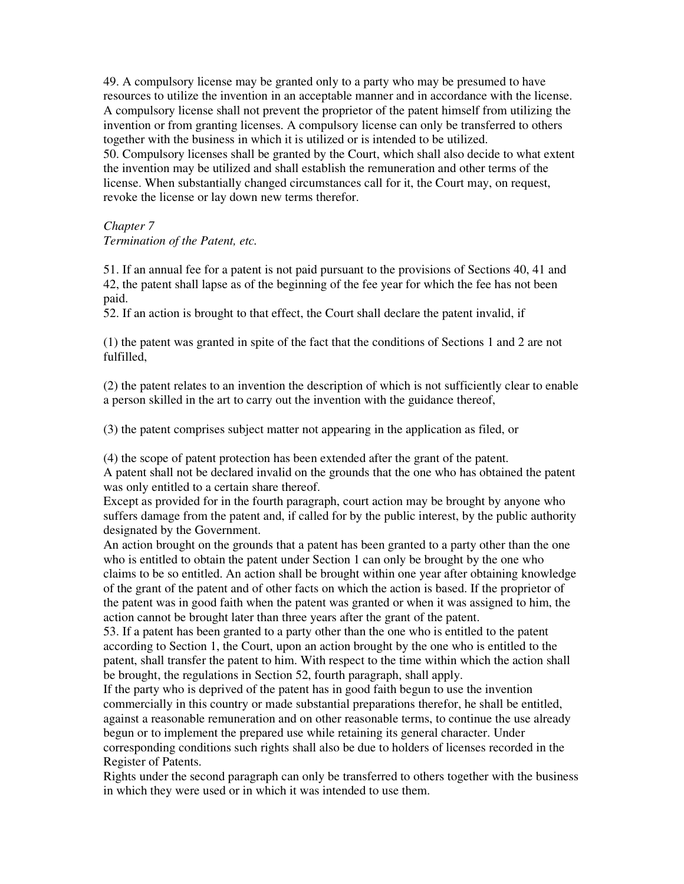49. A compulsory license may be granted only to a party who may be presumed to have resources to utilize the invention in an acceptable manner and in accordance with the license. A compulsory license shall not prevent the proprietor of the patent himself from utilizing the invention or from granting licenses. A compulsory license can only be transferred to others together with the business in which it is utilized or is intended to be utilized. 50. Compulsory licenses shall be granted by the Court, which shall also decide to what extent the invention may be utilized and shall establish the remuneration and other terms of the license. When substantially changed circumstances call for it, the Court may, on request, revoke the license or lay down new terms therefor.

# *Chapter 7*

### *Termination of the Patent, etc.*

51. If an annual fee for a patent is not paid pursuant to the provisions of Sections 40, 41 and 42, the patent shall lapse as of the beginning of the fee year for which the fee has not been paid.

52. If an action is brought to that effect, the Court shall declare the patent invalid, if

(1) the patent was granted in spite of the fact that the conditions of Sections 1 and 2 are not fulfilled,

(2) the patent relates to an invention the description of which is not sufficiently clear to enable a person skilled in the art to carry out the invention with the guidance thereof,

(3) the patent comprises subject matter not appearing in the application as filed, or

(4) the scope of patent protection has been extended after the grant of the patent.

A patent shall not be declared invalid on the grounds that the one who has obtained the patent was only entitled to a certain share thereof.

Except as provided for in the fourth paragraph, court action may be brought by anyone who suffers damage from the patent and, if called for by the public interest, by the public authority designated by the Government.

An action brought on the grounds that a patent has been granted to a party other than the one who is entitled to obtain the patent under Section 1 can only be brought by the one who claims to be so entitled. An action shall be brought within one year after obtaining knowledge of the grant of the patent and of other facts on which the action is based. If the proprietor of the patent was in good faith when the patent was granted or when it was assigned to him, the action cannot be brought later than three years after the grant of the patent.

53. If a patent has been granted to a party other than the one who is entitled to the patent according to Section 1, the Court, upon an action brought by the one who is entitled to the patent, shall transfer the patent to him. With respect to the time within which the action shall be brought, the regulations in Section 52, fourth paragraph, shall apply.

If the party who is deprived of the patent has in good faith begun to use the invention commercially in this country or made substantial preparations therefor, he shall be entitled, against a reasonable remuneration and on other reasonable terms, to continue the use already begun or to implement the prepared use while retaining its general character. Under corresponding conditions such rights shall also be due to holders of licenses recorded in the Register of Patents.

Rights under the second paragraph can only be transferred to others together with the business in which they were used or in which it was intended to use them.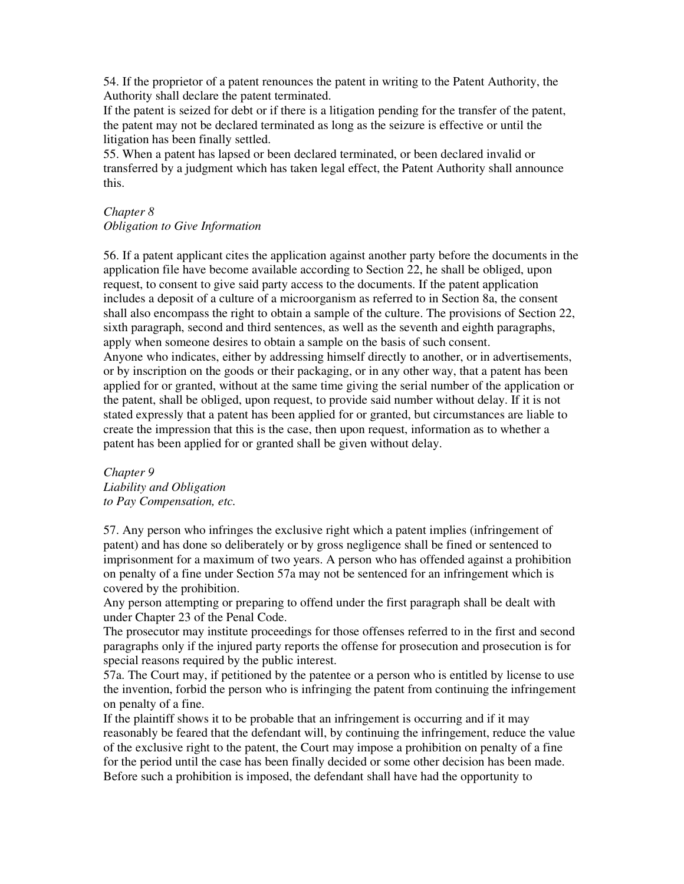54. If the proprietor of a patent renounces the patent in writing to the Patent Authority, the Authority shall declare the patent terminated.

If the patent is seized for debt or if there is a litigation pending for the transfer of the patent, the patent may not be declared terminated as long as the seizure is effective or until the litigation has been finally settled.

55. When a patent has lapsed or been declared terminated, or been declared invalid or transferred by a judgment which has taken legal effect, the Patent Authority shall announce this.

#### *Chapter 8*

*Obligation to Give Information* 

56. If a patent applicant cites the application against another party before the documents in the application file have become available according to Section 22, he shall be obliged, upon request, to consent to give said party access to the documents. If the patent application includes a deposit of a culture of a microorganism as referred to in Section 8a, the consent shall also encompass the right to obtain a sample of the culture. The provisions of Section 22, sixth paragraph, second and third sentences, as well as the seventh and eighth paragraphs, apply when someone desires to obtain a sample on the basis of such consent. Anyone who indicates, either by addressing himself directly to another, or in advertisements, or by inscription on the goods or their packaging, or in any other way, that a patent has been applied for or granted, without at the same time giving the serial number of the application or the patent, shall be obliged, upon request, to provide said number without delay. If it is not stated expressly that a patent has been applied for or granted, but circumstances are liable to create the impression that this is the case, then upon request, information as to whether a patent has been applied for or granted shall be given without delay.

*Chapter 9 Liability and Obligation to Pay Compensation, etc.* 

57. Any person who infringes the exclusive right which a patent implies (infringement of patent) and has done so deliberately or by gross negligence shall be fined or sentenced to imprisonment for a maximum of two years. A person who has offended against a prohibition on penalty of a fine under Section 57a may not be sentenced for an infringement which is covered by the prohibition.

Any person attempting or preparing to offend under the first paragraph shall be dealt with under Chapter 23 of the Penal Code.

The prosecutor may institute proceedings for those offenses referred to in the first and second paragraphs only if the injured party reports the offense for prosecution and prosecution is for special reasons required by the public interest.

57a. The Court may, if petitioned by the patentee or a person who is entitled by license to use the invention, forbid the person who is infringing the patent from continuing the infringement on penalty of a fine.

If the plaintiff shows it to be probable that an infringement is occurring and if it may reasonably be feared that the defendant will, by continuing the infringement, reduce the value of the exclusive right to the patent, the Court may impose a prohibition on penalty of a fine for the period until the case has been finally decided or some other decision has been made. Before such a prohibition is imposed, the defendant shall have had the opportunity to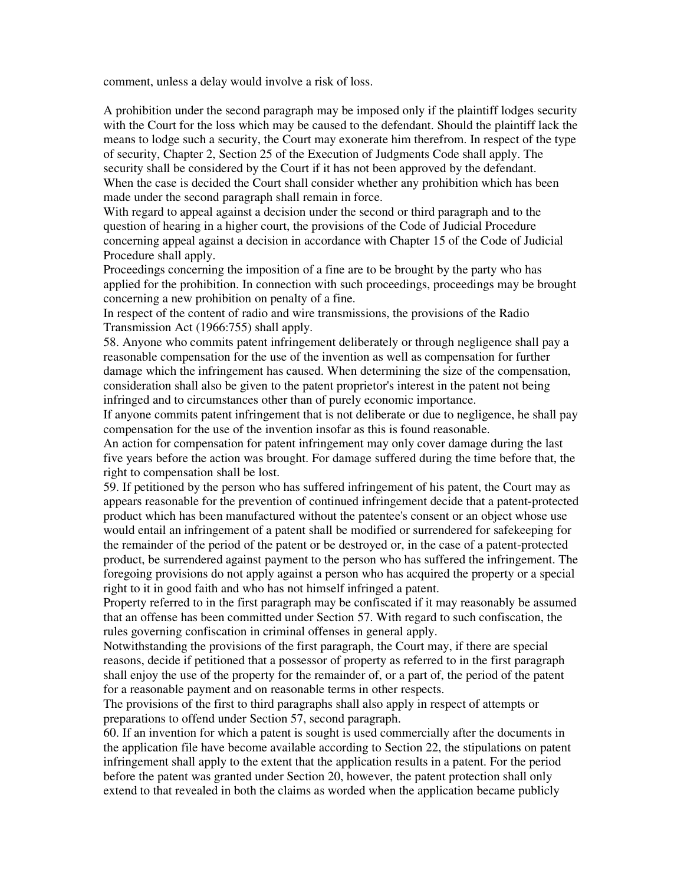comment, unless a delay would involve a risk of loss.

A prohibition under the second paragraph may be imposed only if the plaintiff lodges security with the Court for the loss which may be caused to the defendant. Should the plaintiff lack the means to lodge such a security, the Court may exonerate him therefrom. In respect of the type of security, Chapter 2, Section 25 of the Execution of Judgments Code shall apply. The security shall be considered by the Court if it has not been approved by the defendant. When the case is decided the Court shall consider whether any prohibition which has been made under the second paragraph shall remain in force.

With regard to appeal against a decision under the second or third paragraph and to the question of hearing in a higher court, the provisions of the Code of Judicial Procedure concerning appeal against a decision in accordance with Chapter 15 of the Code of Judicial Procedure shall apply.

Proceedings concerning the imposition of a fine are to be brought by the party who has applied for the prohibition. In connection with such proceedings, proceedings may be brought concerning a new prohibition on penalty of a fine.

In respect of the content of radio and wire transmissions, the provisions of the Radio Transmission Act (1966:755) shall apply.

58. Anyone who commits patent infringement deliberately or through negligence shall pay a reasonable compensation for the use of the invention as well as compensation for further damage which the infringement has caused. When determining the size of the compensation, consideration shall also be given to the patent proprietor's interest in the patent not being infringed and to circumstances other than of purely economic importance.

If anyone commits patent infringement that is not deliberate or due to negligence, he shall pay compensation for the use of the invention insofar as this is found reasonable.

An action for compensation for patent infringement may only cover damage during the last five years before the action was brought. For damage suffered during the time before that, the right to compensation shall be lost.

59. If petitioned by the person who has suffered infringement of his patent, the Court may as appears reasonable for the prevention of continued infringement decide that a patent-protected product which has been manufactured without the patentee's consent or an object whose use would entail an infringement of a patent shall be modified or surrendered for safekeeping for the remainder of the period of the patent or be destroyed or, in the case of a patent-protected product, be surrendered against payment to the person who has suffered the infringement. The foregoing provisions do not apply against a person who has acquired the property or a special right to it in good faith and who has not himself infringed a patent.

Property referred to in the first paragraph may be confiscated if it may reasonably be assumed that an offense has been committed under Section 57. With regard to such confiscation, the rules governing confiscation in criminal offenses in general apply.

Notwithstanding the provisions of the first paragraph, the Court may, if there are special reasons, decide if petitioned that a possessor of property as referred to in the first paragraph shall enjoy the use of the property for the remainder of, or a part of, the period of the patent for a reasonable payment and on reasonable terms in other respects.

The provisions of the first to third paragraphs shall also apply in respect of attempts or preparations to offend under Section 57, second paragraph.

60. If an invention for which a patent is sought is used commercially after the documents in the application file have become available according to Section 22, the stipulations on patent infringement shall apply to the extent that the application results in a patent. For the period before the patent was granted under Section 20, however, the patent protection shall only extend to that revealed in both the claims as worded when the application became publicly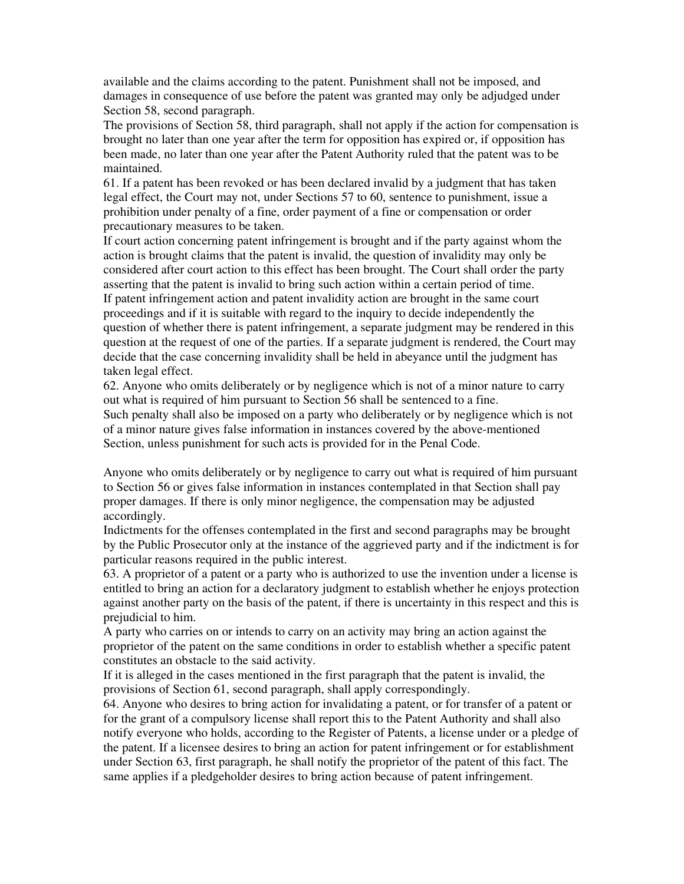available and the claims according to the patent. Punishment shall not be imposed, and damages in consequence of use before the patent was granted may only be adjudged under Section 58, second paragraph.

The provisions of Section 58, third paragraph, shall not apply if the action for compensation is brought no later than one year after the term for opposition has expired or, if opposition has been made, no later than one year after the Patent Authority ruled that the patent was to be maintained.

61. If a patent has been revoked or has been declared invalid by a judgment that has taken legal effect, the Court may not, under Sections 57 to 60, sentence to punishment, issue a prohibition under penalty of a fine, order payment of a fine or compensation or order precautionary measures to be taken.

If court action concerning patent infringement is brought and if the party against whom the action is brought claims that the patent is invalid, the question of invalidity may only be considered after court action to this effect has been brought. The Court shall order the party asserting that the patent is invalid to bring such action within a certain period of time. If patent infringement action and patent invalidity action are brought in the same court proceedings and if it is suitable with regard to the inquiry to decide independently the question of whether there is patent infringement, a separate judgment may be rendered in this question at the request of one of the parties. If a separate judgment is rendered, the Court may decide that the case concerning invalidity shall be held in abeyance until the judgment has taken legal effect.

62. Anyone who omits deliberately or by negligence which is not of a minor nature to carry out what is required of him pursuant to Section 56 shall be sentenced to a fine. Such penalty shall also be imposed on a party who deliberately or by negligence which is not of a minor nature gives false information in instances covered by the above-mentioned Section, unless punishment for such acts is provided for in the Penal Code.

Anyone who omits deliberately or by negligence to carry out what is required of him pursuant to Section 56 or gives false information in instances contemplated in that Section shall pay proper damages. If there is only minor negligence, the compensation may be adjusted accordingly.

Indictments for the offenses contemplated in the first and second paragraphs may be brought by the Public Prosecutor only at the instance of the aggrieved party and if the indictment is for particular reasons required in the public interest.

63. A proprietor of a patent or a party who is authorized to use the invention under a license is entitled to bring an action for a declaratory judgment to establish whether he enjoys protection against another party on the basis of the patent, if there is uncertainty in this respect and this is prejudicial to him.

A party who carries on or intends to carry on an activity may bring an action against the proprietor of the patent on the same conditions in order to establish whether a specific patent constitutes an obstacle to the said activity.

If it is alleged in the cases mentioned in the first paragraph that the patent is invalid, the provisions of Section 61, second paragraph, shall apply correspondingly.

64. Anyone who desires to bring action for invalidating a patent, or for transfer of a patent or for the grant of a compulsory license shall report this to the Patent Authority and shall also notify everyone who holds, according to the Register of Patents, a license under or a pledge of the patent. If a licensee desires to bring an action for patent infringement or for establishment under Section 63, first paragraph, he shall notify the proprietor of the patent of this fact. The same applies if a pledgeholder desires to bring action because of patent infringement.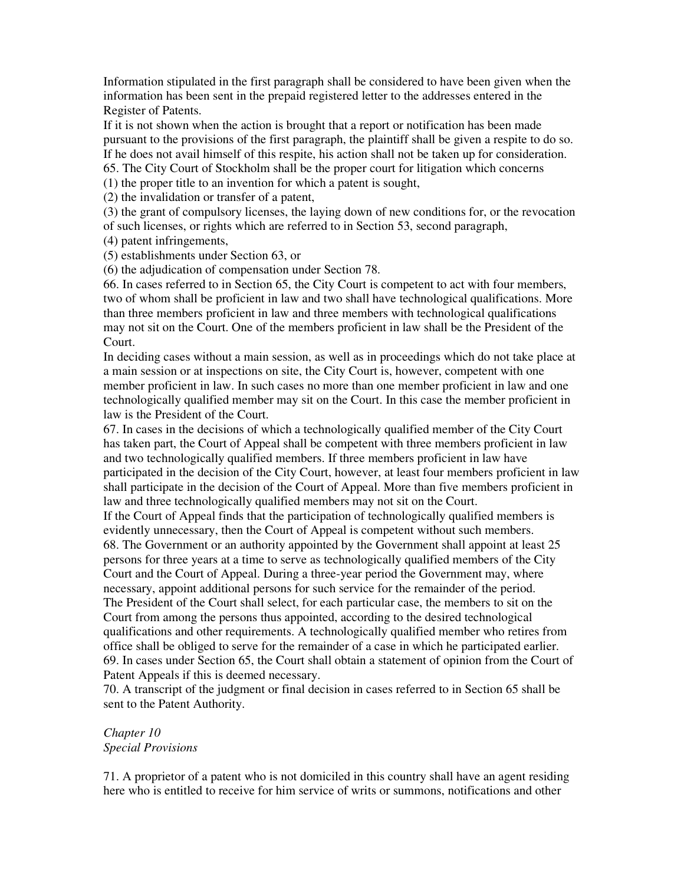Information stipulated in the first paragraph shall be considered to have been given when the information has been sent in the prepaid registered letter to the addresses entered in the Register of Patents.

If it is not shown when the action is brought that a report or notification has been made pursuant to the provisions of the first paragraph, the plaintiff shall be given a respite to do so. If he does not avail himself of this respite, his action shall not be taken up for consideration. 65. The City Court of Stockholm shall be the proper court for litigation which concerns

(1) the proper title to an invention for which a patent is sought,

(2) the invalidation or transfer of a patent,

(3) the grant of compulsory licenses, the laying down of new conditions for, or the revocation of such licenses, or rights which are referred to in Section 53, second paragraph,

(4) patent infringements,

(5) establishments under Section 63, or

(6) the adjudication of compensation under Section 78.

66. In cases referred to in Section 65, the City Court is competent to act with four members, two of whom shall be proficient in law and two shall have technological qualifications. More than three members proficient in law and three members with technological qualifications may not sit on the Court. One of the members proficient in law shall be the President of the Court.

In deciding cases without a main session, as well as in proceedings which do not take place at a main session or at inspections on site, the City Court is, however, competent with one member proficient in law. In such cases no more than one member proficient in law and one technologically qualified member may sit on the Court. In this case the member proficient in law is the President of the Court.

67. In cases in the decisions of which a technologically qualified member of the City Court has taken part, the Court of Appeal shall be competent with three members proficient in law and two technologically qualified members. If three members proficient in law have participated in the decision of the City Court, however, at least four members proficient in law shall participate in the decision of the Court of Appeal. More than five members proficient in law and three technologically qualified members may not sit on the Court.

If the Court of Appeal finds that the participation of technologically qualified members is evidently unnecessary, then the Court of Appeal is competent without such members.

68. The Government or an authority appointed by the Government shall appoint at least 25 persons for three years at a time to serve as technologically qualified members of the City Court and the Court of Appeal. During a three-year period the Government may, where necessary, appoint additional persons for such service for the remainder of the period. The President of the Court shall select, for each particular case, the members to sit on the Court from among the persons thus appointed, according to the desired technological qualifications and other requirements. A technologically qualified member who retires from office shall be obliged to serve for the remainder of a case in which he participated earlier. 69. In cases under Section 65, the Court shall obtain a statement of opinion from the Court of Patent Appeals if this is deemed necessary.

70. A transcript of the judgment or final decision in cases referred to in Section 65 shall be sent to the Patent Authority.

# *Chapter 10 Special Provisions*

71. A proprietor of a patent who is not domiciled in this country shall have an agent residing here who is entitled to receive for him service of writs or summons, notifications and other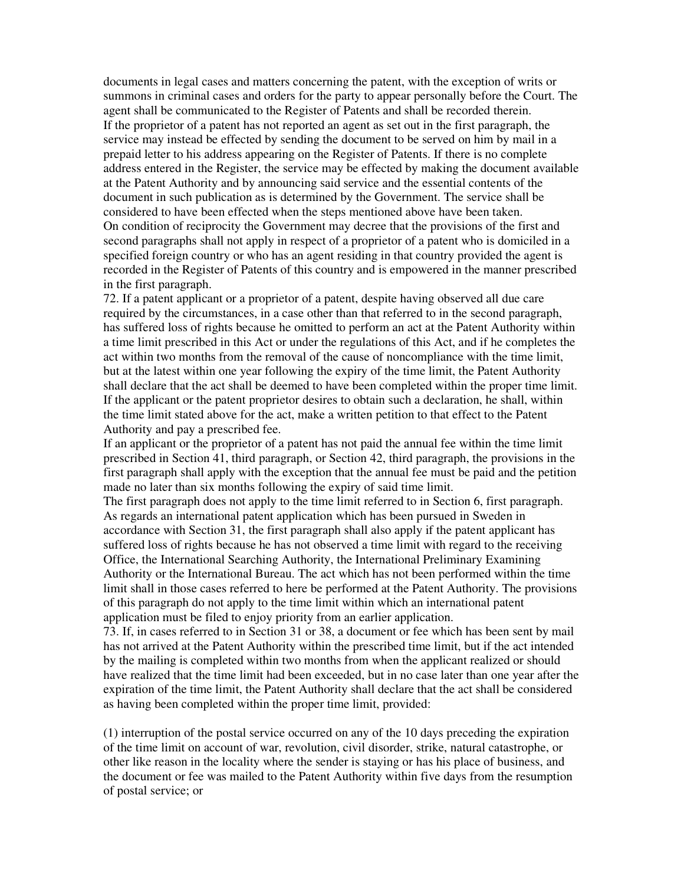documents in legal cases and matters concerning the patent, with the exception of writs or summons in criminal cases and orders for the party to appear personally before the Court. The agent shall be communicated to the Register of Patents and shall be recorded therein. If the proprietor of a patent has not reported an agent as set out in the first paragraph, the service may instead be effected by sending the document to be served on him by mail in a prepaid letter to his address appearing on the Register of Patents. If there is no complete address entered in the Register, the service may be effected by making the document available at the Patent Authority and by announcing said service and the essential contents of the document in such publication as is determined by the Government. The service shall be considered to have been effected when the steps mentioned above have been taken. On condition of reciprocity the Government may decree that the provisions of the first and second paragraphs shall not apply in respect of a proprietor of a patent who is domiciled in a specified foreign country or who has an agent residing in that country provided the agent is recorded in the Register of Patents of this country and is empowered in the manner prescribed in the first paragraph.

72. If a patent applicant or a proprietor of a patent, despite having observed all due care required by the circumstances, in a case other than that referred to in the second paragraph, has suffered loss of rights because he omitted to perform an act at the Patent Authority within a time limit prescribed in this Act or under the regulations of this Act, and if he completes the act within two months from the removal of the cause of noncompliance with the time limit, but at the latest within one year following the expiry of the time limit, the Patent Authority shall declare that the act shall be deemed to have been completed within the proper time limit. If the applicant or the patent proprietor desires to obtain such a declaration, he shall, within the time limit stated above for the act, make a written petition to that effect to the Patent Authority and pay a prescribed fee.

If an applicant or the proprietor of a patent has not paid the annual fee within the time limit prescribed in Section 41, third paragraph, or Section 42, third paragraph, the provisions in the first paragraph shall apply with the exception that the annual fee must be paid and the petition made no later than six months following the expiry of said time limit.

The first paragraph does not apply to the time limit referred to in Section 6, first paragraph. As regards an international patent application which has been pursued in Sweden in accordance with Section 31, the first paragraph shall also apply if the patent applicant has suffered loss of rights because he has not observed a time limit with regard to the receiving Office, the International Searching Authority, the International Preliminary Examining Authority or the International Bureau. The act which has not been performed within the time limit shall in those cases referred to here be performed at the Patent Authority. The provisions of this paragraph do not apply to the time limit within which an international patent application must be filed to enjoy priority from an earlier application.

73. If, in cases referred to in Section 31 or 38, a document or fee which has been sent by mail has not arrived at the Patent Authority within the prescribed time limit, but if the act intended by the mailing is completed within two months from when the applicant realized or should have realized that the time limit had been exceeded, but in no case later than one year after the expiration of the time limit, the Patent Authority shall declare that the act shall be considered as having been completed within the proper time limit, provided:

(1) interruption of the postal service occurred on any of the 10 days preceding the expiration of the time limit on account of war, revolution, civil disorder, strike, natural catastrophe, or other like reason in the locality where the sender is staying or has his place of business, and the document or fee was mailed to the Patent Authority within five days from the resumption of postal service; or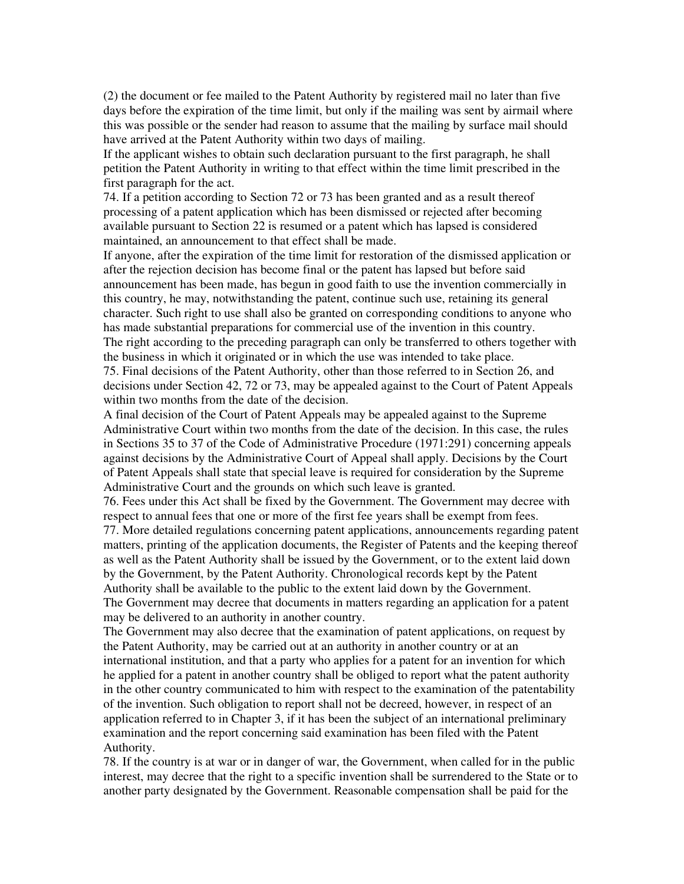(2) the document or fee mailed to the Patent Authority by registered mail no later than five days before the expiration of the time limit, but only if the mailing was sent by airmail where this was possible or the sender had reason to assume that the mailing by surface mail should have arrived at the Patent Authority within two days of mailing.

If the applicant wishes to obtain such declaration pursuant to the first paragraph, he shall petition the Patent Authority in writing to that effect within the time limit prescribed in the first paragraph for the act.

74. If a petition according to Section 72 or 73 has been granted and as a result thereof processing of a patent application which has been dismissed or rejected after becoming available pursuant to Section 22 is resumed or a patent which has lapsed is considered maintained, an announcement to that effect shall be made.

If anyone, after the expiration of the time limit for restoration of the dismissed application or after the rejection decision has become final or the patent has lapsed but before said announcement has been made, has begun in good faith to use the invention commercially in this country, he may, notwithstanding the patent, continue such use, retaining its general character. Such right to use shall also be granted on corresponding conditions to anyone who has made substantial preparations for commercial use of the invention in this country. The right according to the preceding paragraph can only be transferred to others together with

the business in which it originated or in which the use was intended to take place. 75. Final decisions of the Patent Authority, other than those referred to in Section 26, and decisions under Section 42, 72 or 73, may be appealed against to the Court of Patent Appeals

within two months from the date of the decision.

A final decision of the Court of Patent Appeals may be appealed against to the Supreme Administrative Court within two months from the date of the decision. In this case, the rules in Sections 35 to 37 of the Code of Administrative Procedure (1971:291) concerning appeals against decisions by the Administrative Court of Appeal shall apply. Decisions by the Court of Patent Appeals shall state that special leave is required for consideration by the Supreme Administrative Court and the grounds on which such leave is granted.

76. Fees under this Act shall be fixed by the Government. The Government may decree with respect to annual fees that one or more of the first fee years shall be exempt from fees.

77. More detailed regulations concerning patent applications, announcements regarding patent matters, printing of the application documents, the Register of Patents and the keeping thereof as well as the Patent Authority shall be issued by the Government, or to the extent laid down by the Government, by the Patent Authority. Chronological records kept by the Patent Authority shall be available to the public to the extent laid down by the Government. The Government may decree that documents in matters regarding an application for a patent may be delivered to an authority in another country.

The Government may also decree that the examination of patent applications, on request by the Patent Authority, may be carried out at an authority in another country or at an international institution, and that a party who applies for a patent for an invention for which he applied for a patent in another country shall be obliged to report what the patent authority in the other country communicated to him with respect to the examination of the patentability of the invention. Such obligation to report shall not be decreed, however, in respect of an application referred to in Chapter 3, if it has been the subject of an international preliminary examination and the report concerning said examination has been filed with the Patent Authority.

78. If the country is at war or in danger of war, the Government, when called for in the public interest, may decree that the right to a specific invention shall be surrendered to the State or to another party designated by the Government. Reasonable compensation shall be paid for the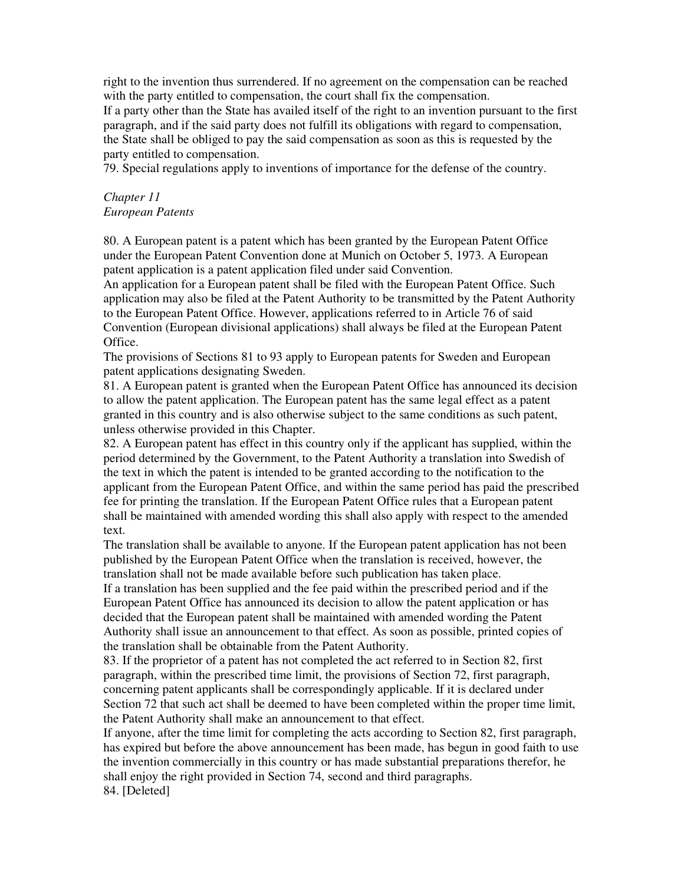right to the invention thus surrendered. If no agreement on the compensation can be reached with the party entitled to compensation, the court shall fix the compensation.

If a party other than the State has availed itself of the right to an invention pursuant to the first paragraph, and if the said party does not fulfill its obligations with regard to compensation, the State shall be obliged to pay the said compensation as soon as this is requested by the party entitled to compensation.

79. Special regulations apply to inventions of importance for the defense of the country.

#### *Chapter 11 European Patents*

80. A European patent is a patent which has been granted by the European Patent Office under the European Patent Convention done at Munich on October 5, 1973. A European patent application is a patent application filed under said Convention.

An application for a European patent shall be filed with the European Patent Office. Such application may also be filed at the Patent Authority to be transmitted by the Patent Authority to the European Patent Office. However, applications referred to in Article 76 of said Convention (European divisional applications) shall always be filed at the European Patent Office.

The provisions of Sections 81 to 93 apply to European patents for Sweden and European patent applications designating Sweden.

81. A European patent is granted when the European Patent Office has announced its decision to allow the patent application. The European patent has the same legal effect as a patent granted in this country and is also otherwise subject to the same conditions as such patent, unless otherwise provided in this Chapter.

82. A European patent has effect in this country only if the applicant has supplied, within the period determined by the Government, to the Patent Authority a translation into Swedish of the text in which the patent is intended to be granted according to the notification to the applicant from the European Patent Office, and within the same period has paid the prescribed fee for printing the translation. If the European Patent Office rules that a European patent shall be maintained with amended wording this shall also apply with respect to the amended text.

The translation shall be available to anyone. If the European patent application has not been published by the European Patent Office when the translation is received, however, the translation shall not be made available before such publication has taken place.

If a translation has been supplied and the fee paid within the prescribed period and if the European Patent Office has announced its decision to allow the patent application or has decided that the European patent shall be maintained with amended wording the Patent Authority shall issue an announcement to that effect. As soon as possible, printed copies of the translation shall be obtainable from the Patent Authority.

83. If the proprietor of a patent has not completed the act referred to in Section 82, first paragraph, within the prescribed time limit, the provisions of Section 72, first paragraph, concerning patent applicants shall be correspondingly applicable. If it is declared under Section 72 that such act shall be deemed to have been completed within the proper time limit, the Patent Authority shall make an announcement to that effect.

If anyone, after the time limit for completing the acts according to Section 82, first paragraph, has expired but before the above announcement has been made, has begun in good faith to use the invention commercially in this country or has made substantial preparations therefor, he shall enjoy the right provided in Section 74, second and third paragraphs. 84. [Deleted]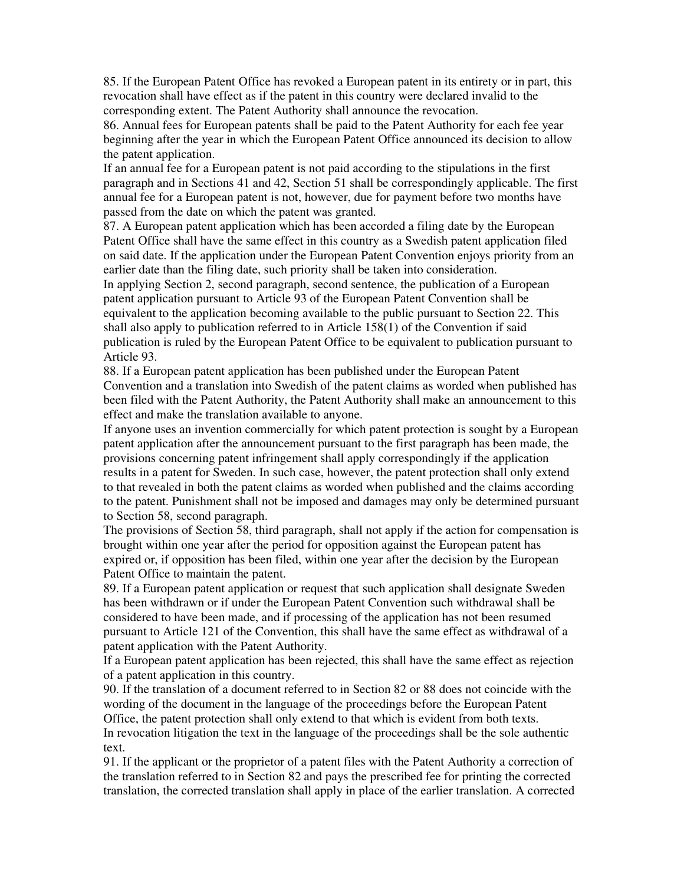85. If the European Patent Office has revoked a European patent in its entirety or in part, this revocation shall have effect as if the patent in this country were declared invalid to the corresponding extent. The Patent Authority shall announce the revocation.

86. Annual fees for European patents shall be paid to the Patent Authority for each fee year beginning after the year in which the European Patent Office announced its decision to allow the patent application.

If an annual fee for a European patent is not paid according to the stipulations in the first paragraph and in Sections 41 and 42, Section 51 shall be correspondingly applicable. The first annual fee for a European patent is not, however, due for payment before two months have passed from the date on which the patent was granted.

87. A European patent application which has been accorded a filing date by the European Patent Office shall have the same effect in this country as a Swedish patent application filed on said date. If the application under the European Patent Convention enjoys priority from an earlier date than the filing date, such priority shall be taken into consideration.

In applying Section 2, second paragraph, second sentence, the publication of a European patent application pursuant to Article 93 of the European Patent Convention shall be equivalent to the application becoming available to the public pursuant to Section 22. This shall also apply to publication referred to in Article 158(1) of the Convention if said publication is ruled by the European Patent Office to be equivalent to publication pursuant to Article 93.

88. If a European patent application has been published under the European Patent Convention and a translation into Swedish of the patent claims as worded when published has been filed with the Patent Authority, the Patent Authority shall make an announcement to this effect and make the translation available to anyone.

If anyone uses an invention commercially for which patent protection is sought by a European patent application after the announcement pursuant to the first paragraph has been made, the provisions concerning patent infringement shall apply correspondingly if the application results in a patent for Sweden. In such case, however, the patent protection shall only extend to that revealed in both the patent claims as worded when published and the claims according to the patent. Punishment shall not be imposed and damages may only be determined pursuant to Section 58, second paragraph.

The provisions of Section 58, third paragraph, shall not apply if the action for compensation is brought within one year after the period for opposition against the European patent has expired or, if opposition has been filed, within one year after the decision by the European Patent Office to maintain the patent.

89. If a European patent application or request that such application shall designate Sweden has been withdrawn or if under the European Patent Convention such withdrawal shall be considered to have been made, and if processing of the application has not been resumed pursuant to Article 121 of the Convention, this shall have the same effect as withdrawal of a patent application with the Patent Authority.

If a European patent application has been rejected, this shall have the same effect as rejection of a patent application in this country.

90. If the translation of a document referred to in Section 82 or 88 does not coincide with the wording of the document in the language of the proceedings before the European Patent Office, the patent protection shall only extend to that which is evident from both texts. In revocation litigation the text in the language of the proceedings shall be the sole authentic text.

91. If the applicant or the proprietor of a patent files with the Patent Authority a correction of the translation referred to in Section 82 and pays the prescribed fee for printing the corrected translation, the corrected translation shall apply in place of the earlier translation. A corrected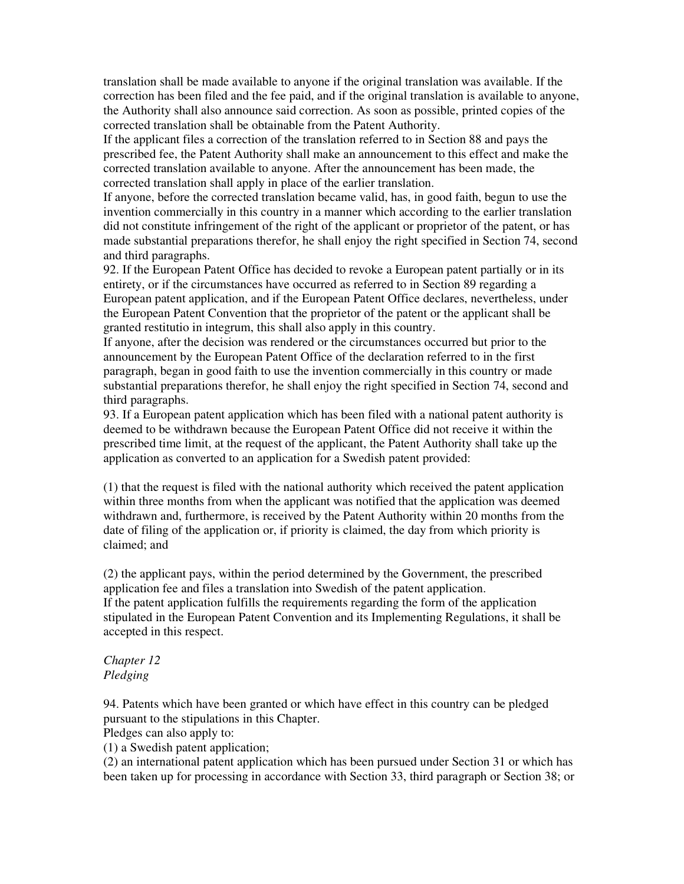translation shall be made available to anyone if the original translation was available. If the correction has been filed and the fee paid, and if the original translation is available to anyone, the Authority shall also announce said correction. As soon as possible, printed copies of the corrected translation shall be obtainable from the Patent Authority.

If the applicant files a correction of the translation referred to in Section 88 and pays the prescribed fee, the Patent Authority shall make an announcement to this effect and make the corrected translation available to anyone. After the announcement has been made, the corrected translation shall apply in place of the earlier translation.

If anyone, before the corrected translation became valid, has, in good faith, begun to use the invention commercially in this country in a manner which according to the earlier translation did not constitute infringement of the right of the applicant or proprietor of the patent, or has made substantial preparations therefor, he shall enjoy the right specified in Section 74, second and third paragraphs.

92. If the European Patent Office has decided to revoke a European patent partially or in its entirety, or if the circumstances have occurred as referred to in Section 89 regarding a European patent application, and if the European Patent Office declares, nevertheless, under the European Patent Convention that the proprietor of the patent or the applicant shall be granted restitutio in integrum, this shall also apply in this country.

If anyone, after the decision was rendered or the circumstances occurred but prior to the announcement by the European Patent Office of the declaration referred to in the first paragraph, began in good faith to use the invention commercially in this country or made substantial preparations therefor, he shall enjoy the right specified in Section 74, second and third paragraphs.

93. If a European patent application which has been filed with a national patent authority is deemed to be withdrawn because the European Patent Office did not receive it within the prescribed time limit, at the request of the applicant, the Patent Authority shall take up the application as converted to an application for a Swedish patent provided:

(1) that the request is filed with the national authority which received the patent application within three months from when the applicant was notified that the application was deemed withdrawn and, furthermore, is received by the Patent Authority within 20 months from the date of filing of the application or, if priority is claimed, the day from which priority is claimed; and

(2) the applicant pays, within the period determined by the Government, the prescribed application fee and files a translation into Swedish of the patent application. If the patent application fulfills the requirements regarding the form of the application stipulated in the European Patent Convention and its Implementing Regulations, it shall be accepted in this respect.

# *Chapter 12 Pledging*

94. Patents which have been granted or which have effect in this country can be pledged pursuant to the stipulations in this Chapter.

Pledges can also apply to:

(1) a Swedish patent application;

(2) an international patent application which has been pursued under Section 31 or which has been taken up for processing in accordance with Section 33, third paragraph or Section 38; or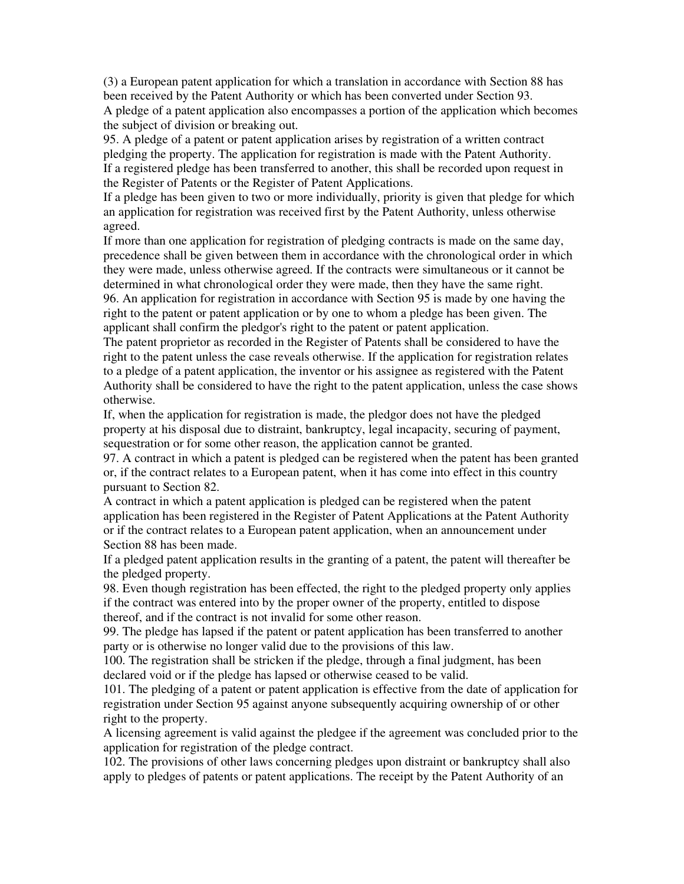(3) a European patent application for which a translation in accordance with Section 88 has been received by the Patent Authority or which has been converted under Section 93. A pledge of a patent application also encompasses a portion of the application which becomes the subject of division or breaking out.

95. A pledge of a patent or patent application arises by registration of a written contract pledging the property. The application for registration is made with the Patent Authority. If a registered pledge has been transferred to another, this shall be recorded upon request in the Register of Patents or the Register of Patent Applications.

If a pledge has been given to two or more individually, priority is given that pledge for which an application for registration was received first by the Patent Authority, unless otherwise agreed.

If more than one application for registration of pledging contracts is made on the same day, precedence shall be given between them in accordance with the chronological order in which they were made, unless otherwise agreed. If the contracts were simultaneous or it cannot be determined in what chronological order they were made, then they have the same right. 96. An application for registration in accordance with Section 95 is made by one having the right to the patent or patent application or by one to whom a pledge has been given. The applicant shall confirm the pledgor's right to the patent or patent application.

The patent proprietor as recorded in the Register of Patents shall be considered to have the right to the patent unless the case reveals otherwise. If the application for registration relates to a pledge of a patent application, the inventor or his assignee as registered with the Patent Authority shall be considered to have the right to the patent application, unless the case shows otherwise.

If, when the application for registration is made, the pledgor does not have the pledged property at his disposal due to distraint, bankruptcy, legal incapacity, securing of payment, sequestration or for some other reason, the application cannot be granted.

97. A contract in which a patent is pledged can be registered when the patent has been granted or, if the contract relates to a European patent, when it has come into effect in this country pursuant to Section 82.

A contract in which a patent application is pledged can be registered when the patent application has been registered in the Register of Patent Applications at the Patent Authority or if the contract relates to a European patent application, when an announcement under Section 88 has been made.

If a pledged patent application results in the granting of a patent, the patent will thereafter be the pledged property.

98. Even though registration has been effected, the right to the pledged property only applies if the contract was entered into by the proper owner of the property, entitled to dispose thereof, and if the contract is not invalid for some other reason.

99. The pledge has lapsed if the patent or patent application has been transferred to another party or is otherwise no longer valid due to the provisions of this law.

100. The registration shall be stricken if the pledge, through a final judgment, has been declared void or if the pledge has lapsed or otherwise ceased to be valid.

101. The pledging of a patent or patent application is effective from the date of application for registration under Section 95 against anyone subsequently acquiring ownership of or other right to the property.

A licensing agreement is valid against the pledgee if the agreement was concluded prior to the application for registration of the pledge contract.

102. The provisions of other laws concerning pledges upon distraint or bankruptcy shall also apply to pledges of patents or patent applications. The receipt by the Patent Authority of an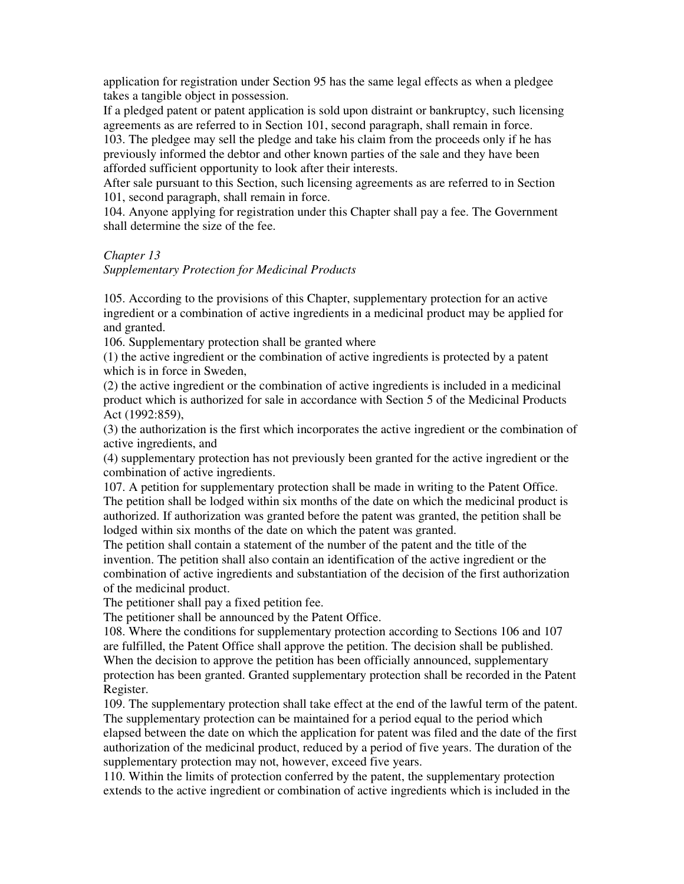application for registration under Section 95 has the same legal effects as when a pledgee takes a tangible object in possession.

If a pledged patent or patent application is sold upon distraint or bankruptcy, such licensing agreements as are referred to in Section 101, second paragraph, shall remain in force.

103. The pledgee may sell the pledge and take his claim from the proceeds only if he has previously informed the debtor and other known parties of the sale and they have been afforded sufficient opportunity to look after their interests.

After sale pursuant to this Section, such licensing agreements as are referred to in Section 101, second paragraph, shall remain in force.

104. Anyone applying for registration under this Chapter shall pay a fee. The Government shall determine the size of the fee.

#### *Chapter 13*

#### *Supplementary Protection for Medicinal Products*

105. According to the provisions of this Chapter, supplementary protection for an active ingredient or a combination of active ingredients in a medicinal product may be applied for and granted.

106. Supplementary protection shall be granted where

(1) the active ingredient or the combination of active ingredients is protected by a patent which is in force in Sweden.

(2) the active ingredient or the combination of active ingredients is included in a medicinal product which is authorized for sale in accordance with Section 5 of the Medicinal Products Act (1992:859),

(3) the authorization is the first which incorporates the active ingredient or the combination of active ingredients, and

(4) supplementary protection has not previously been granted for the active ingredient or the combination of active ingredients.

107. A petition for supplementary protection shall be made in writing to the Patent Office. The petition shall be lodged within six months of the date on which the medicinal product is authorized. If authorization was granted before the patent was granted, the petition shall be lodged within six months of the date on which the patent was granted.

The petition shall contain a statement of the number of the patent and the title of the invention. The petition shall also contain an identification of the active ingredient or the combination of active ingredients and substantiation of the decision of the first authorization of the medicinal product.

The petitioner shall pay a fixed petition fee.

The petitioner shall be announced by the Patent Office.

108. Where the conditions for supplementary protection according to Sections 106 and 107 are fulfilled, the Patent Office shall approve the petition. The decision shall be published. When the decision to approve the petition has been officially announced, supplementary protection has been granted. Granted supplementary protection shall be recorded in the Patent Register.

109. The supplementary protection shall take effect at the end of the lawful term of the patent. The supplementary protection can be maintained for a period equal to the period which elapsed between the date on which the application for patent was filed and the date of the first authorization of the medicinal product, reduced by a period of five years. The duration of the supplementary protection may not, however, exceed five years.

110. Within the limits of protection conferred by the patent, the supplementary protection extends to the active ingredient or combination of active ingredients which is included in the